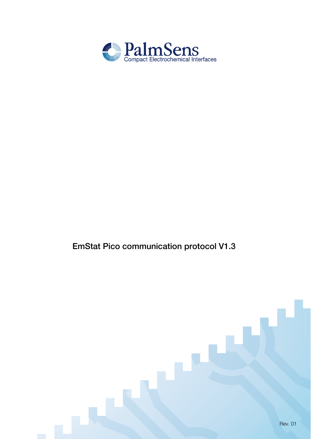

## EmStat Pico communication protocol V1.3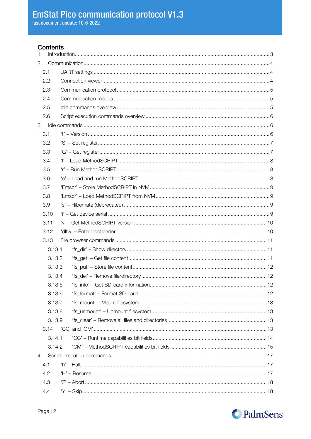### **Contents**

| $\mathbf{1}$              |        |  |  |  |  |  |
|---------------------------|--------|--|--|--|--|--|
| 2                         |        |  |  |  |  |  |
| 2.1                       |        |  |  |  |  |  |
|                           | 2.2    |  |  |  |  |  |
|                           | 2.3    |  |  |  |  |  |
|                           | 2.4    |  |  |  |  |  |
|                           | 2.5    |  |  |  |  |  |
|                           | 2.6    |  |  |  |  |  |
| $\ensuremath{\mathsf{3}}$ |        |  |  |  |  |  |
|                           | 3.1    |  |  |  |  |  |
|                           | 3.2    |  |  |  |  |  |
|                           | 3.3    |  |  |  |  |  |
|                           | 3.4    |  |  |  |  |  |
|                           | 3.5    |  |  |  |  |  |
|                           | 3.6    |  |  |  |  |  |
|                           | 3.7    |  |  |  |  |  |
|                           | 3.8    |  |  |  |  |  |
|                           | 3.9    |  |  |  |  |  |
|                           | 3.10   |  |  |  |  |  |
|                           | 3.11   |  |  |  |  |  |
|                           | 3.12   |  |  |  |  |  |
|                           | 3.13   |  |  |  |  |  |
|                           | 3.13.1 |  |  |  |  |  |
|                           | 3.13.2 |  |  |  |  |  |
|                           | 3.13.3 |  |  |  |  |  |
|                           | 3.13.4 |  |  |  |  |  |
|                           | 3.13.5 |  |  |  |  |  |
|                           | 3.13.6 |  |  |  |  |  |
|                           | 3.13.7 |  |  |  |  |  |
|                           | 3.13.8 |  |  |  |  |  |
|                           | 3.13.9 |  |  |  |  |  |
|                           | 3.14   |  |  |  |  |  |
|                           | 3.14.1 |  |  |  |  |  |
|                           | 3.14.2 |  |  |  |  |  |
| $\overline{4}$            |        |  |  |  |  |  |
|                           | 4.1    |  |  |  |  |  |
|                           | 4.2    |  |  |  |  |  |
|                           | 4.3    |  |  |  |  |  |
|                           | 4.4    |  |  |  |  |  |

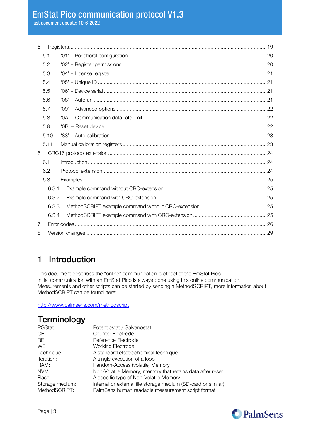5 [Registers.........................................................................................................................................19](#page-18-0) 5.1 '01' – [Peripheral configuration................................................................................................20](#page-18-1) 5.2 '02' – Register permissions [....................................................................................................20](#page-19-0) 5.3 '04' – License register [............................................................................................................21](#page-20-0) 5.4 '05' – Unique ID [.....................................................................................................................21](#page-20-1) 5.5 '06' – Device serial [.................................................................................................................21](#page-20-2) 5.6 '08' – Autorun [........................................................................................................................21](#page-20-3) 5.7 '09' – Advanced options [........................................................................................................22](#page-21-0) 5.8 '0A' – [Communication data rate limit......................................................................................22](#page-21-1) 5.9 '0B' – Reset device [................................................................................................................22](#page-21-2) 5.10 '83' – Auto calibration [............................................................................................................23](#page-22-0) 5.11 Manual calibration registers [....................................................................................................23](#page-22-1) 6 [CRC16 protocol extension..............................................................................................................24](#page-23-0) 6.1 [Introduction............................................................................................................................24](#page-23-1) 6.2 Protocol extension [.................................................................................................................24](#page-23-2) 6.3 Examples [...............................................................................................................................25](#page-24-0) 6.3.1 Example command without CRC-extension [.......................................................................25](#page-24-1) 6.3.2 Example command with CRC-extension [............................................................................25](#page-24-2) 6.3.3 [MethodSCRIPT example command without CRC-extension](#page-24-3) ..............................................25 6.3.4 [MethodSCRIPT example command with CRC-extension](#page-24-4) ...................................................25 7 Error codes [.....................................................................................................................................26](#page-25-0) 8 Version changes [.............................................................................................................................29](#page-28-0)

## <span id="page-2-0"></span>1 Introduction

This document describes the "online" communication protocol of the EmStat Pico. Initial communication with an EmStat Pico is always done using this online communication. Measurements and other scripts can be started by sending a MethodSCRIPT, more information about MethodSCRIPT can be found here:

<http://www.palmsens.com/methodscript>

## **Terminology**

| Potentiostat / Galvanostat                                    |
|---------------------------------------------------------------|
| Counter Electrode                                             |
| Reference Electrode                                           |
| <b>Working Electrode</b>                                      |
| A standard electrochemical technique                          |
| A single execution of a loop                                  |
| Random-Access (volatile) Memory                               |
| Non-Volatile Memory, memory that retains data after reset     |
| A specific type of Non-Volatile Memory                        |
| Internal or external file storage medium (SD-card or similar) |
| PalmSens human readable measurement script format             |
|                                                               |

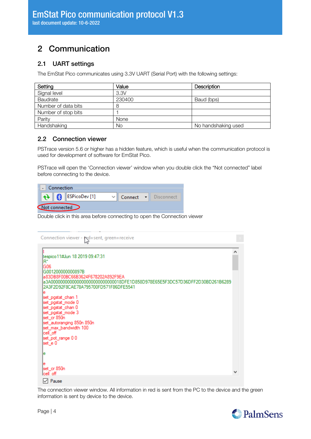## <span id="page-3-0"></span>2 Communication

## <span id="page-3-1"></span>2.1 UART settings

The EmStat Pico communicates using 3.3V UART (Serial Port) with the following settings:

| Setting             | Value  | Description         |
|---------------------|--------|---------------------|
| Signal level        | 3.3V   |                     |
| Baudrate            | 230400 | Baud (bps)          |
| Number of data bits | 8      |                     |
| Number of stop bits |        |                     |
| Parity              | None   |                     |
| Handshaking         | No     | No handshaking used |

## <span id="page-3-2"></span>2.2 Connection viewer

PSTrace version 5.6 or higher has a hidden feature, which is useful when the communication protocol is used for development of software for EmStat Pico.

PSTrace will open the 'Connection viewer' window when you double click the "Not connected" label before connecting to the device.

| Connection    |  |  |                                    |  |  |                      |
|---------------|--|--|------------------------------------|--|--|----------------------|
|               |  |  | $\bigoplus$ <b>B</b> ESPicoDev [1] |  |  | Connect • Disconnect |
| Not connected |  |  |                                    |  |  |                      |

Double click in this area before connecting to open the Connection viewer

| Connection viewer - red=sent, green=receive                                                                                                                      |  |
|------------------------------------------------------------------------------------------------------------------------------------------------------------------|--|
| tespico 11#Jun 18 2019 09:47:31<br>$R^*$<br>G06<br>G001200000000897B                                                                                             |  |
| a83DB8F00BC66B3624F678202A892F9EA<br>a3A0000000000000000000000000000018DFE1D858D978E65E5F3DC57D36DFF2D30BD261B6289<br>2A3F2D92F8CAE78A795700FD571F86DFE5541<br>е |  |
| set_pgstat_chan 1<br>set_pgstat_mode 0<br>set_pgstat_chan 0<br>set_pgstat_mode 3                                                                                 |  |
| set_cr 850n<br>set_autoranging 850n 850n<br>set_max_bandwidth 100<br>cell_off                                                                                    |  |
| set_pot_range 00<br>set_e 0<br>е                                                                                                                                 |  |
| е<br>set_cr 850n<br>lcell off                                                                                                                                    |  |
| l∕l Pause                                                                                                                                                        |  |

The connection viewer window. All information in red is sent from the PC to the device and the green information is sent by device to the device.

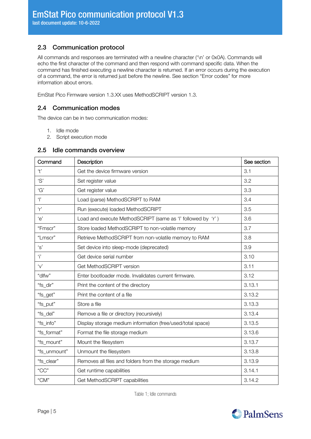## <span id="page-4-0"></span>2.3 Communication protocol

All commands and responses are terminated with a newline character ('\n' or 0x0A). Commands will echo the first character of the command and then respond with command specific data. When the command has finished executing a newline character is returned. If an error occurs during the execution of a command, the error is returned just before the newline. See section "[Error codes](#page-25-0)" for more information about errors.

<span id="page-4-1"></span>EmStat Pico Firmware version 1.3.XX uses MethodSCRIPT version 1.3.

### 2.4 Communication modes

The device can be in two communication modes:

- 1. Idle mode
- 2. Script execution mode

#### <span id="page-4-2"></span>2.5 Idle commands overview

| Command               | Description                                                 | See section |
|-----------------------|-------------------------------------------------------------|-------------|
| 't'                   | Get the device firmware version                             | 3.1         |
| 'S'                   | Set register value                                          |             |
| 'G'                   | Get register value                                          | 3.3         |
| $\mathbf{r}$          | Load (parse) MethodSCRIPT to RAM                            | 3.4         |
| r'                    | Run (execute) loaded MethodSCRIPT                           | 3.5         |
| 'e'                   | Load and execute MethodSCRIPT (same as 'l' followed by 'r') | 3.6         |
| "Fmscr"               | Store loaded MethodSCRIPT to non-volatile memory            | 3.7         |
| "Lmscr"               | Retrieve MethodSCRIPT from non-volatile memory to RAM       | 3.8         |
| ʻs'                   | Set device into sleep-mode (deprecated)                     | 3.9         |
| Ŧ                     | Get device serial number                                    | 3.10        |
| $\mathbf{v}^{\prime}$ | Get MethodSCRIPT version                                    | 3.11        |
| "dlfw"                | Enter bootloader mode. Invalidates current firmware.        | 3.12        |
| "fs_dir"              | Print the content of the directory                          | 3.13.1      |
| "fs_get"              | Print the content of a file                                 | 3.13.2      |
| "fs_put"              | Store a file                                                | 3.13.3      |
| "fs_del"              | Remove a file or directory (recursively)                    | 3.13.4      |
| "fs_info"             | Display storage medium information (free/used/total space)  | 3.13.5      |
| "fs_format"           | Format the file storage medium                              | 3.13.6      |
| "fs_mount"            | Mount the filesystem                                        | 3.13.7      |
| "fs_unmount"          | Unmount the filesystem                                      | 3.13.8      |
| "fs_clear"            | Removes all files and folders from the storage medium       | 3.13.9      |
| "CC"                  | Get runtime capabilities                                    | 3.14.1      |
| "CM"                  | Get MethodSCRIPT capabilities                               | 3.14.2      |

Table 1; Idle commands

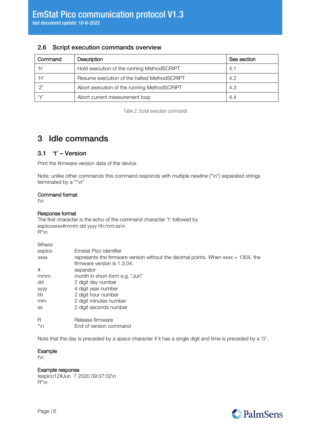## <span id="page-5-0"></span>2.6 Script execution commands overview

| Command | <b>Description</b>                          | See section |
|---------|---------------------------------------------|-------------|
| ʻhʻ     | Hold execution of the running MethodSCRIPT  | 4.1         |
| ʻH'     | Resume execution of the halted MethodSCRIPT | 4.2         |
| '7'     | Abort execution of the running MethodSCRIPT | -4.3        |
| $\vee$  | Abort current measurement loop              | 4.4         |

Table 2; Script execution commands

## <span id="page-5-1"></span>3 Idle commands

### <span id="page-5-2"></span>3.1 't' – Version

Print the firmware version data of the device.

Note: unlike other commands this command responds with multiple newline ("\n") separated strings terminated by a "\*\n"

#### Command format

t\n

#### Response format

The first character is the echo of the command character 't' followed by espicoxxxx#mmm dd yyyy hh:mm:ss\n R\*\n

| Where:      |                                                                                      |
|-------------|--------------------------------------------------------------------------------------|
| espico      | Emstat Pico identifier                                                               |
| <b>XXXX</b> | represents the firmware version without the decimal points. When $xxxx = 1304$ , the |
|             | firmware version is 1.3.04.                                                          |
| #           | separator                                                                            |
| mmm         | month in short-form e.g. "Jun"                                                       |
| dd          | 2 digit day number                                                                   |
| <b>yyyy</b> | 4 digit year number                                                                  |
| hh          | 2 digit hour number                                                                  |
| mm          | 2 digit minutes number                                                               |
| SS          | 2 digit seconds number                                                               |
| R           | Release firmware                                                                     |
| *\n         | End of version command                                                               |

Note that the day is preceded by a space character if it has a single digit and time is preceded by a '0'.

#### Example

t\n

#### Example response

tespico12#Jun 7 2020 09:37:02\n R\*\n

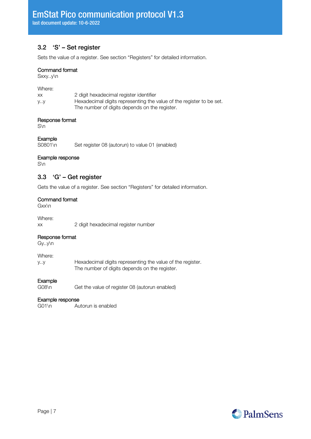## <span id="page-6-0"></span>3.2 'S' – Set register

Sets the value of a register. See section "[Registers](#page-18-0)" for detailed information.

#### Command format

Sxxy..y\n

Where:

| XХ | 2 digit hexadecimal register identifier                              |
|----|----------------------------------------------------------------------|
| уу | Hexadecimal digits representing the value of the register to be set. |
|    | The number of digits depends on the register.                        |

#### Response format

S\n

# Example<br>S0801\n

Set register 08 (autorun) to value 01 (enabled)

#### Example response

<span id="page-6-1"></span>S\n

#### 3.3 'G' – Get register

Gets the value of a register. See section "[Registers](#page-18-0)" for detailed information.

#### Command format

Gxx\n

Where:

xx 2 digit hexadecimal register number

#### Response format

Gy..y\n

Where:

y..y Hexadecimal digits representing the value of the register. The number of digits depends on the register.

#### Example

G08\n Get the value of register 08 (autorun enabled)

#### Example response

G01\n Autorun is enabled

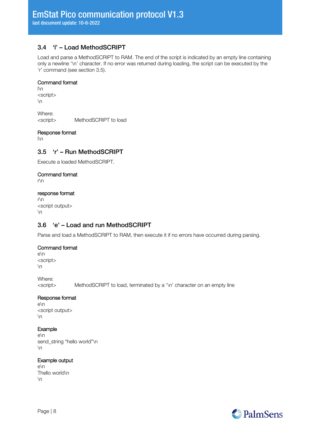## <span id="page-7-0"></span>3.4 'l' – Load MethodSCRIPT

Load and parse a MethodSCRIPT to RAM. The end of the script is indicated by an empty line containing only a newline '\n' character. If no error was returned during loading, the script can be executed by the 'r' command (see section [3.5\)](#page-7-1).

#### Command format

l\n <script>  $\ln$ 

Where: <script> MethodSCRIPT to load

#### Response format

<span id="page-7-1"></span>l\n

### 3.5 'r' – Run MethodSCRIPT

Execute a loaded MethodSCRIPT.

#### Command format

r\n

#### response format

r\n <script output>  $\ln$ 

## <span id="page-7-2"></span>3.6 'e' – Load and run MethodSCRIPT

Parse and load a MethodSCRIPT to RAM, then execute it if no errors have occurred during parsing.

#### Command format

e\n <script>  $\ln$ 

Where:

<script> MethodSCRIPT to load, terminated by a '\n' character on an empty line

#### Response format

e\n <script output>  $\ln$ 

#### Example

e\n send\_string "hello world"\n  $\ln$ 

#### Example output

e\n Thello world\n  $\ln$ 

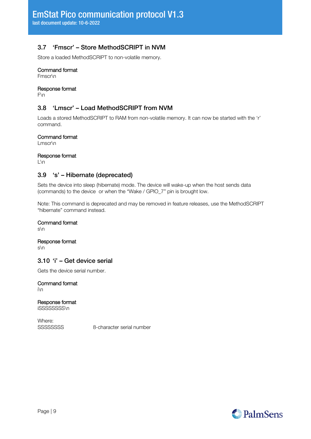## <span id="page-8-0"></span>3.7 'Fmscr' – Store MethodSCRIPT in NVM

Store a loaded MethodSCRIPT to non-volatile memory.

#### Command format

Fmscr\n

#### Response format

<span id="page-8-1"></span>F\n

## 3.8 'Lmscr' – Load MethodSCRIPT from NVM

Loads a stored MethodSCRIPT to RAM from non-volatile memory. It can now be started with the 'r' command.

#### Command format

Lmscr\n

#### Response format

<span id="page-8-2"></span>L\n

#### 3.9 's' – Hibernate (deprecated)

Sets the device into sleep (hibernate) mode. The device will wake-up when the host sends data (commands) to the device or when the "Wake / GPIO\_7" pin is brought low.

Note: This command is deprecated and may be removed in feature releases, use the MethodSCRIPT "hibernate" command instead.

#### Command format

s\n

#### Response format

<span id="page-8-3"></span>s\n

#### 3.10 'i' – Get device serial

Gets the device serial number.

Command format i\n

Response format

iSSSSSSSS\n

Where:

SSSSSSSS 8-character serial number

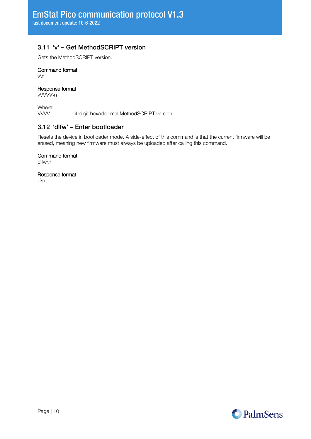## <span id="page-9-0"></span>3.11 'v' – Get MethodSCRIPT version

Gets the MethodSCRIPT version.

#### Command format

v\n

#### Response format

vVVVV\n

Where:<br>
WW 4-digit hexadecimal MethodSCRIPT version

### <span id="page-9-1"></span>3.12 'dlfw' – Enter bootloader

Resets the device in bootloader mode. A side-effect of this command is that the current firmware will be erased, meaning new firmware must always be uploaded after calling this command.

#### Command format

dlfw\n

#### Response format

d\n

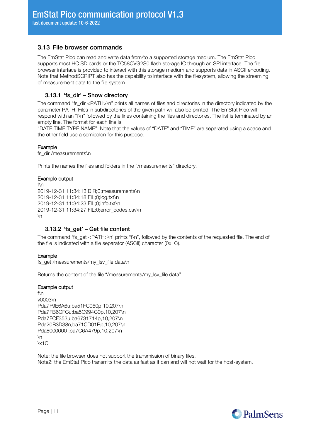### <span id="page-10-0"></span>3.13 File browser commands

The EmStat Pico can read and write data from/to a supported storage medium. The EmStat Pico supports most HC SD cards or the TC58CVG2S0 flash storage IC through an SPI interface. The file browser interface is provided to interact with this storage medium and supports data in ASCII encoding. Note that MethodSCRIPT also has the capability to interface with the filesystem, allowing the streaming of measurement data to the file system.

#### <span id="page-10-1"></span>3.13.1 'fs\_dir' – Show directory

The command "fs\_dir <PATH>\n" prints all names of files and directories in the directory indicated by the parameter PATH. Files in subdirectories of the given path will also be printed. The EmStat Pico will respond with an "f\n" followed by the lines containing the files and directories. The list is terminated by an empty line. The format for each line is:

"DATE TIME;TYPE;NAME". Note that the values of "DATE" and "TIME" are separated using a space and the other field use a semicolon for this purpose.

#### Example

fs\_dir /measurements\n

Prints the names the files and folders in the "/measurements" directory.

#### Example output

f\n 2019-12-31 11:34:13;DIR;0;measurements\n 2019-12-31 11:34:18;FIL;0;log.txt\n 2019-12-31 11:34:23;FIL;0;info.txt\n 2019-12-31 11:34:27;FIL;0;error\_codes.csv\n  $\ln$ 

#### <span id="page-10-2"></span>3.13.2 'fs\_get' – Get file content

The command 'fs\_get <PATH>\n' prints "f\n", followed by the contents of the requested file. The end of the file is indicated with a file separator (ASCII) character (0x1C).

#### Example

fs\_get /measurements/my\_lsv\_file.data\n

Returns the content of the file "/measurements/my\_lsv\_file.data".

#### Example output

f\n v0003\n Pda7F9E6A6u;ba51FC060p,10,207\n Pda7FB6CFCu;ba5C994C0p,10,207\n Pda7FCF353u;ba6731714p,10,207\n Pda20B3D38n;ba71CD01Bp,10,207\n Pda8000000 ;ba7C6A479p,10,207\n  $\ln$ \x1C

Note: the file browser does not support the transmission of binary files. Note2: the EmStat Pico transmits the data as fast as it can and will not wait for the host-system.

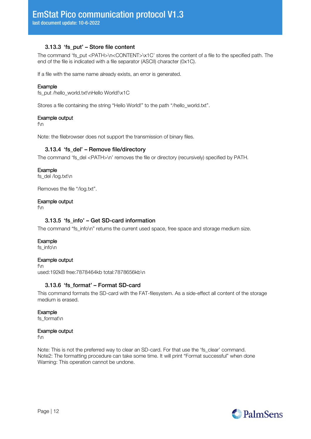#### 3.13.3 'fs\_put' – Store file content

<span id="page-11-0"></span>The command 'fs\_put <PATH>\n<CONTENT>\x1C' stores the content of a file to the specified path. The end of the file is indicated with a file separator (ASCII) character (0x1C).

If a file with the same name already exists, an error is generated.

#### Example

fs\_put /hello\_world.txt\nHello World!\x1C

Stores a file containing the string "Hello World!" to the path "/hello\_world.txt".

#### Example output

f\n

<span id="page-11-1"></span>Note: the filebrowser does not support the transmission of binary files.

#### 3.13.4 'fs\_del' – Remove file/directory

The command 'fs\_del <PATH>\n' removes the file or directory (recursively) specified by PATH.

#### Example

fs\_del /log.txt\n

Removes the file "/log.txt".

#### Example output

<span id="page-11-2"></span>f\n

#### 3.13.5 'fs\_info' – Get SD-card information

The command "fs\_info\n" returns the current used space, free space and storage medium size.

#### Example

fs\_info\n

#### Example output

f\n used:192kB free:7878464kb total:7878656kb\n

#### <span id="page-11-3"></span>3.13.6 'fs\_format' – Format SD-card

This command formats the SD-card with the FAT-filesystem. As a side-effect all content of the storage medium is erased.

#### Example

fs\_format\n

#### Example output

f\n

Note: This is not the preferred way to clear an SD-card. For that use the 'fs clear' command. Note2: The formatting procedure can take some time. It will print "Format successful" when done Warning: This operation cannot be undone.

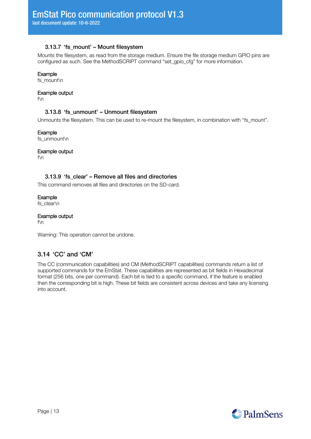#### 3.13.7 'fs\_mount' – Mount filesystem

<span id="page-12-0"></span>Mounts the filesystem, as read from the storage medium. Ensure the file storage medium GPIO pins are configured as such. See the MethodSCRIPT command "set\_gpio\_cfg" for more information.

#### Example

fs\_mount\n

#### Example output

<span id="page-12-1"></span>f\n

#### 3.13.8 'fs\_unmount' – Unmount filesystem

Unmounts the filesystem. This can be used to re-mount the filesystem, in combination with "fs\_mount".

Example

fs\_unmount\n

Example output

<span id="page-12-2"></span>f\n

#### 3.13.9 'fs\_clear' – Remove all files and directories

This command removes all files and directories on the SD-card.

Example fs\_clear\n

Example output f\n

Warning: This operation cannot be undone.

## <span id="page-12-3"></span>3.14 'CC' and 'CM'

The CC (communication capabilities) and CM (MethodSCRIPT capabilities) commands return a list of supported commands for the EmStat. These capabilities are represented as bit fields in Hexadecimal format (256 bits, one per command). Each bit is tied to a specific command, if the feature is enabled then the corresponding bit is high. These bit fields are consistent across devices and take any licensing into account.

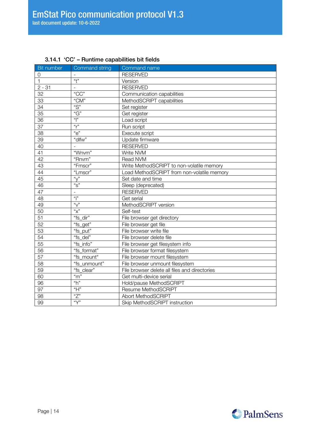| Bit number      | Command string     | Command name                                  |
|-----------------|--------------------|-----------------------------------------------|
| 0               |                    | <b>RESERVED</b>                               |
| 1               | $\overline{t}$     | Version                                       |
| $2 - 31$        | $\overline{a}$     | <b>RESERVED</b>                               |
| 32              | "CC"               | Communication capabilities                    |
| 33              | "CM"               | MethodSCRIPT capabilities                     |
| 34              | "S"                | Set register                                  |
| 35              | "G"                | Get register                                  |
| 36              | $\mathfrak{g}$     | Load script                                   |
| 37              | $\mathfrak{a}_{r}$ | Run script                                    |
| 38              | "e"                | Execute script                                |
| 39              | "dlfw"             | Update firmware                               |
| 40              |                    | <b>RESERVED</b>                               |
| 41              | "Wnvm"             | Write NVM                                     |
| $\overline{42}$ | "Rnvm"             | Read NVM                                      |
| 43              | "Fmscr"            | Write MethodSCRIPT to non-volatile memory     |
| 44              | "Lmscr"            | Load MethodSCRIPT from non-volatile memory    |
| 45              | $\sqrt[n]{n}$      | Set date and time                             |
| 46              | "S"                | Sleep (deprecated)                            |
| 47              | $\overline{a}$     | <b>RESERVED</b>                               |
| 48              | $\mathbf{a}$       | Get serial                                    |
| 49              | $\sqrt[n]{n}$      | MethodSCRIPT version                          |
| 50              | "x"                | Self-test                                     |
| 51              | "fs_dir"           | File browser get directory                    |
| 52              | "fs_get"           | File browser get file                         |
| 53              | "fs_put"           | File browser write file                       |
| 54              | "fs_del"           | File browser delete file                      |
| 55              | "fs_info"          | File browser get filesystem info              |
| 56              | "fs_format"        | File browser format filesystem                |
| 57              | "fs_mount"         | File browser mount filesystem                 |
| 58              | "fs_unmount"       | File browser unmount filesystem               |
| 59              | "fs_clear"         | File browser delete all files and directories |
| 60              | $\overline{m}$     | Get multi-device serial                       |
| 96              | "h"                | Hold/pause MethodSCRIPT                       |
| 97              | $\overline{H}$     | Resume MethodSCRIPT                           |
| 98              | "Z"                | Abort MethodSCRIPT                            |
| 99              | $\sqrt[n]{n}$      | Skip MethodSCRIPT instruction                 |

## <span id="page-13-0"></span>3.14.1 'CC' – Runtime capabilities bit fields

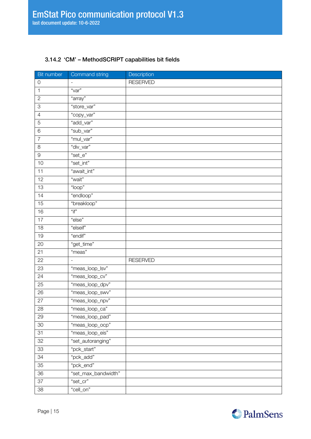### <span id="page-14-0"></span>3.14.2 'CM' – MethodSCRIPT capabilities bit fields

| Bit number                | Command string           | Description     |
|---------------------------|--------------------------|-----------------|
| $\mathbf 0$               | $\overline{\phantom{m}}$ | <b>RESERVED</b> |
| $\mathbf{1}$              | "var"                    |                 |
| $\sqrt{2}$                | "array"                  |                 |
| $\ensuremath{\mathsf{3}}$ | "store_var"              |                 |
| $\overline{4}$            | "copy_var"               |                 |
| $\sqrt{5}$                | "add_var"                |                 |
| $\,6$                     | "sub_var"                |                 |
| $\overline{7}$            | "mul_var"                |                 |
| 8                         | "div_var"                |                 |
| 9                         | "set_e"                  |                 |
| 10                        | "set_int"                |                 |
| 11                        | "await_int"              |                 |
| 12                        | "wait"                   |                 |
| 13                        | "loop"                   |                 |
| 14                        | "endloop"                |                 |
| 15                        | "breakloop"              |                 |
| 16                        | $"$ if"                  |                 |
| 17                        | "else"                   |                 |
| 18                        | "elseif"                 |                 |
| 19                        | "endif"                  |                 |
| 20                        | "get_time"               |                 |
| 21                        | "meas"                   |                 |
| 22                        |                          | <b>RESERVED</b> |
| 23                        | "meas_loop_lsv"          |                 |
| 24                        | "meas_loop_cv"           |                 |
| 25                        | "meas_loop_dpv"          |                 |
| 26                        | "meas_loop_swv"          |                 |
| $\overline{27}$           | "meas_loop_npv"          |                 |
| 28                        | "meas_loop_ca"           |                 |
| 29                        | "meas_loop_pad"          |                 |
| 30                        | "meas_loop_ocp"          |                 |
| 31                        | "meas_loop_eis"          |                 |
| 32                        | "set_autoranging"        |                 |
| 33                        | "pck_start"              |                 |
| 34                        | "pck_add"                |                 |
| 35                        | "pck_end"                |                 |
| 36                        | "set_max_bandwidth"      |                 |
| 37                        | "set_cr"                 |                 |
| 38                        | "cell_on"                |                 |

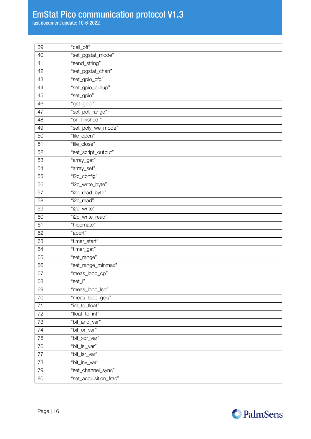## EmStat Pico communication protocol V1.3

last document update: 10-6-2022

| 39     | "cell_off"             |  |
|--------|------------------------|--|
| 40     | "set_pgstat_mode"      |  |
| 41     | "send_string"          |  |
| 42     | "set_pgstat_chan"      |  |
| 43     | "set_gpio_cfg"         |  |
| 44     | "set_gpio_pullup"      |  |
| 45     | "set_gpio"             |  |
| 46     | "get_gpio"             |  |
| 47     | "set_pot_range"        |  |
| 48     | "on_finished:"         |  |
| 49     | "set_poly_we_mode"     |  |
| 50     | "file_open"            |  |
| 51     | "file_close"           |  |
| 52     | "set_script_output"    |  |
| 53     | "array_get"            |  |
| 54     | "array_set"            |  |
| 55     | "i2c_config"           |  |
| 56     | "i2c_write_byte"       |  |
| 57     | "i2c_read_byte"        |  |
| 58     | "i2c_read"             |  |
| 59     | "i2c_write"            |  |
| 60     | "i2c_write_read"       |  |
| 61     | "hibernate"            |  |
| 62     | "abort"                |  |
| 63     | "timer_start"          |  |
| 64     | "timer_get"            |  |
| 65     | "set_range"            |  |
| 66     | "set_range_minmax"     |  |
| 67     | "meas_loop_cp"         |  |
| 68     | "set_i"                |  |
| 69     | "meas_loop_lsp"        |  |
| $70\,$ | "meas_loop_geis"       |  |
| 71     | "int_to_float"         |  |
| 72     | "float_to_int"         |  |
| 73     | "bit_and_var"          |  |
| 74     | "bit_or_var"           |  |
| 75     | "bit_xor_var"          |  |
| 76     | "bit_lsl_var"          |  |
| 77     | "bit_lsr_var"          |  |
| 78     | "bit_inv_var"          |  |
| 79     | "set_channel_sync"     |  |
| 80     | "set_acquisition_frac" |  |

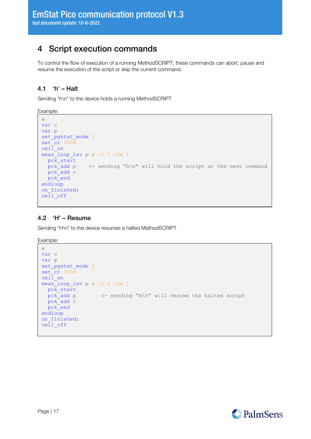## <span id="page-16-0"></span>4 Script execution commands

To control the flow of execution of a running MethodSCRIPT, these commands can abort, pause and resume the execution of the script or skip the current command.

## <span id="page-16-1"></span>4.1 'h' – Halt

Sending "h\n" to the device holds a running MethodSCRIPT

Example:

```
e
var c
var p
set pgstat mode 2
\text{set} \text{cr} 100\text{m}cell on
meas_loop_lsv p c -1 1 10m 1
 pc\overline{k} start
 pck add p <- sending "h\n" will hold the script at the next command
  pck_add c
  pck_end
endloop
on finished:
ceI1 off
```
### <span id="page-16-2"></span>4.2 'H' – Resume

Sending "H\n" to the device resumes a halted MethodSCRIPT

Example:

```
e
var c
var p
set_pgstat_mode 2
set<sup>cr</sup> 100m
cell_on
meas_loop_lsv p c -1 1 10m 1
  pck_start
  pck_add p <- sending "H\n" will resume the halted script
  pck_add c
  pck_end
endloop
on finished:
cell_off
```
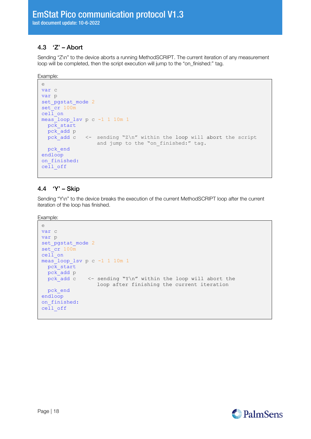## <span id="page-17-0"></span>4.3 'Z' – Abort

Sending "Z\n" to the device aborts a running MethodSCRIPT. The current iteration of any measurement loop will be completed, then the script execution will jump to the "on\_finished:" tag.

Example:

```
e
var c
var p
set pgstat mode 2
set<sup>-</sup>cr 100<sub>m</sub>ceil on
meas_loop_lsv p c -1 1 10m 1
  pck_start
  pck_add p
 pck add c \leq sending "Z\n" within the loop will abort the script
                   and jump to the "on finished:" tag.
  pck_end
endloop
on finished:
cell_off
```
### <span id="page-17-1"></span>4.4 'Y' – Skip

Sending "Y\n" to the device breaks the execution of the current MethodSCRIPT loop after the current iteration of the loop has finished.

Example:

```
e
var c
var p
set_pgstat_mode 2
set<sup>cr</sup> 100m
cell_on
meas_loop_lsv p c -1 1 10m 1
 pck start
  pck_add p
 pck_add c <- sending "Y\n" within the loop will abort the
                 loop after finishing the current iteration
  pck_end
endloop
on finished:
cell_off
```
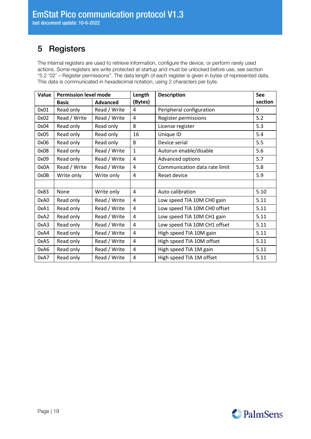## <span id="page-18-0"></span>5 Registers

The internal registers are used to retrieve information, configure the device, or perform rarely used actions. Some registers are write protected at startup and must be unlocked before use, see section "[5.2](#page-19-0) '02' – [Register permissions](#page-19-0)". The data length of each register is given in bytes of represented data. This data is communicated in hexadecimal notation, using 2 characters per byte.

<span id="page-18-1"></span>

| Value | <b>Permission level mode</b> | Length          |              | <b>Description</b>            | <b>See</b>   |
|-------|------------------------------|-----------------|--------------|-------------------------------|--------------|
|       | <b>Basic</b>                 | <b>Advanced</b> | (Bytes)      |                               | section      |
| 0x01  | Read only                    | Read / Write    | 4            | Peripheral configuration      | $\mathbf{0}$ |
| 0x02  | Read / Write                 | Read / Write    | 4            | Register permissions          | 5.2          |
| 0x04  | Read only                    | Read only       | 8            | License register              | 5.3          |
| 0x05  | Read only                    | Read only       | 16           | Unique ID                     | 5.4          |
| 0x06  | Read only                    | Read only       | 8            | Device serial                 | 5.5          |
| 0x08  | Read only                    | Read / Write    | $\mathbf{1}$ | Autorun enable/disable        | 5.6          |
| 0x09  | Read only                    | Read / Write    | 4            | Advanced options              | 5.7          |
| 0x0A  | Read / Write                 | Read / Write    | 4            | Communication data rate limit | 5.8          |
| 0x0B  | Write only                   | Write only      | 4            | Reset device                  | 5.9          |
|       |                              |                 |              |                               |              |
| 0x83  | None                         | Write only      | 4            | Auto calibration              | 5.10         |
| 0xA0  | Read only                    | Read / Write    | 4            | Low speed TIA 10M CHO gain    | 5.11         |
| 0xA1  | Read only                    | Read / Write    | 4            | Low speed TIA 10M CH0 offset  | 5.11         |
| 0xA2  | Read only                    | Read / Write    | 4            | Low speed TIA 10M CH1 gain    | 5.11         |
| 0xA3  | Read only                    | Read / Write    | 4            | Low speed TIA 10M CH1 offset  | 5.11         |
| 0xA4  | Read only                    | Read / Write    | 4            | High speed TIA 10M gain       | 5.11         |
| 0xA5  | Read only                    | Read / Write    | 4            | High speed TIA 10M offset     | 5.11         |
| 0xA6  | Read only                    | Read / Write    | 4            | High speed TIA 1M gain        | 5.11         |
| 0xA7  | Read only                    | Read / Write    | 4            | High speed TIA 1M offset      | 5.11         |

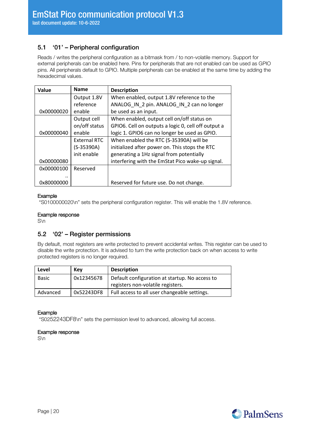## 5.1 '01' – Peripheral configuration

Reads / writes the peripheral configuration as a bitmask from / to non-volatile memory. Support for external peripherals can be enabled here. Pins for peripherals that are not enabled can be used as GPIO pins. All peripherals default to GPIO. Multiple peripherals can be enabled at the same time by adding the hexadecimal values.

| Value       | <b>Name</b>   | <b>Description</b>                                  |  |
|-------------|---------------|-----------------------------------------------------|--|
| Output 1.8V |               | When enabled, output 1.8V reference to the          |  |
|             | reference     | ANALOG IN 2 pin. ANALOG IN 2 can no longer          |  |
| 0x00000020  | enable        | be used as an input.                                |  |
|             | Output cell   | When enabled, output cell on/off status on          |  |
|             | on/off status | GPIO6. Cell on outputs a logic 0, cell off output a |  |
| 0x00000040  | enable        | logic 1. GPIO6 can no longer be used as GPIO.       |  |
|             | External RTC  | When enabled the RTC (S-35390A) will be             |  |
|             | $(S-35390A)$  | initialized after power on. This stops the RTC      |  |
|             | init enable   | generating a 1Hz signal from potentially            |  |
| 0x00000080  |               | interfering with the EmStat Pico wake-up signal.    |  |
| 0x00000100  | Reserved      |                                                     |  |
|             |               |                                                     |  |
| 0x80000000  |               | Reserved for future use. Do not change.             |  |

#### Example

"S0100000020\n" sets the peripheral configuration register. This will enable the 1.8V reference.

#### Example response

<span id="page-19-0"></span>S\n

#### 5.2 '02' – Register permissions

By default, most registers are write protected to prevent accidental writes. This register can be used to disable the write protection. It is advised to turn the write protection back on when access to write protected registers is no longer required.

| Level        | Kev        | <b>Description</b>                             |  |
|--------------|------------|------------------------------------------------|--|
| <b>Basic</b> | 0x12345678 | Default configuration at startup. No access to |  |
|              |            | registers non-volatile registers.              |  |
| Advanced     | 0x52243DF8 | Full access to all user changeable settings.   |  |

#### Example

"S0252243DF8\n" sets the permission level to advanced, allowing full access.

#### Example response

S\n

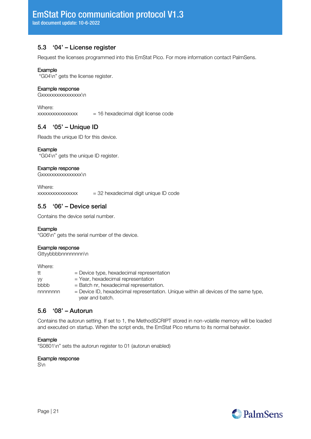## <span id="page-20-0"></span>5.3 '04' – License register

Request the licenses programmed into this EmStat Pico. For more information contact PalmSens.

#### Example

"G04\n" gets the license register.

#### Example response

Gxxxxxxxxxxxxxxxx\n

Where:  $xxxxxxxxxxxxx$  = 16 hexadecimal digit license code

## <span id="page-20-1"></span>5.4 '05' – Unique ID

Reads the unique ID for this device.

#### Example

"G04\n" gets the unique ID register.

#### Example response

Gxxxxxxxxxxxxxxxxx

Where:  $xxxxxxxxxxxxx$  = 32 hexadecimal digit unique ID code

## <span id="page-20-2"></span>5.5 '06' – Device serial

Contains the device serial number.

#### Example

"G06\n" gets the serial number of the device.

#### Example response

Gttyybbbbnnnnnnnn\n

Where:

| tt      | $=$ Device type, hexadecimal representation                                            |
|---------|----------------------------------------------------------------------------------------|
| yy      | $=$ Year, hexadecimal representation                                                   |
| bbbb    | $=$ Batch nr, hexadecimal representation.                                              |
| nnnnnnn | $=$ Device ID, hexadecimal representation. Unique within all devices of the same type, |
|         | year and batch.                                                                        |

#### <span id="page-20-3"></span>5.6 '08' – Autorun

Contains the autorun setting. If set to 1, the MethodSCRIPT stored in non-volatile memory will be loaded and executed on startup. When the script ends, the EmStat Pico returns to its normal behavior.

#### Example

"S0801\n" sets the autorun register to 01 (autorun enabled)

#### Example response

S\n

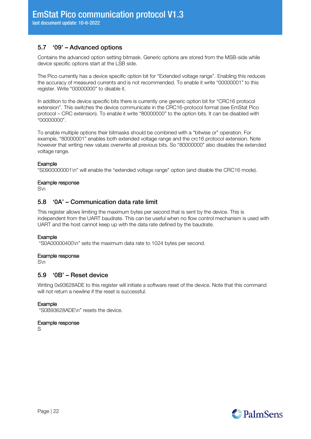## <span id="page-21-0"></span>5.7 '09' – Advanced options

Contains the advanced option setting bitmask. Generic options are stored from the MSB-side while device specific options start at the LSB side.

The Pico currently has a device specific option bit for "Extended voltage range". Enabling this reduces the accuracy of measured currents and is not recommended. To enable it write "00000001" to this register. Write "00000000" to disable it.

In addition to the device specific bits there is currently one generic option bit for "CRC16 protocol extension". This switches the device communicate in the CRC16-protocol format (see EmStat Pico protocol – CRC extension). To enable it write "80000000" to the option bits. It can be disabled with "00000000".

To enable multiple options their bitmasks should be combined with a "bitwise or" operation. For example, "80000001" enables both extended voltage range and the crc16 protocol extension. Note however that writing new values overwrite all previous bits. So "80000000" also disables the extended voltage range.

#### Example

"S0900000001\n" will enable the "extended voltage range" option (and disable the CRC16 mode).

#### Example response

<span id="page-21-1"></span>S\n

#### 5.8 '0A' – Communication data rate limit

This register allows limiting the maximum bytes per second that is sent by the device. This is independent from the UART baudrate. This can be useful when no flow control mechanism is used with UART and the host cannot keep up with the data rate defined by the baudrate.

#### Example

"S0A00000400\n" sets the maximum data rate to 1024 bytes per second.

#### Example response

<span id="page-21-2"></span>S\n

#### 5.9 '0B' – Reset device

Writing 0x93628ADE to this register will initiate a software reset of the device. Note that this command will not return a newline if the reset is successful.

#### Example

"S0B93628ADE\n" resets the device.

#### Example response

S

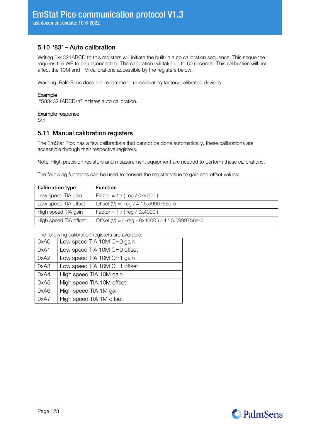## <span id="page-22-0"></span>5.10 '83' – Auto calibration

Writing 0x4321ABCD to this registers will initiate the built-in auto calibration sequence. This sequence requires the WE to be unconnected. The calibration will take up to 60 seconds. This calibration will not affect the 10M and 1M calibrations accessible by the registers below.

Warning: PalmSens does not recommend re-calibrating factory calibrated devices.

#### Example

"S834321ABCD\n" initiates auto calibration.

#### Example response

<span id="page-22-1"></span>S\n

#### 5.11 Manual calibration registers

The EmStat Pico has a few calibrations that cannot be done automatically, these calibrations are accessible through their respective registers.

Note: High precision resistors and measurement equipment are needed to perform these calibrations.

The following functions can be used to convert the register value to gain and offset values:

| <b>Calibration type</b> | <b>Function</b>                                   |
|-------------------------|---------------------------------------------------|
| Low speed TIA gain      | $Factor = 1 / (reg / 0x4000)$                     |
| Low speed TIA offset    | Offset (V) = -reg / 4 $*$ 5.5999756e-5            |
| High speed TIA gain     | $Factor = 1 / (reg / 0x4000)$                     |
| High speed TIA offset   | Offset (V) = $(-reg - 0x4000) / 4 * 5.5999756e-5$ |

The following calibration registers are available:

| 0xA0 | Low speed TIA 10M CH0 gain   |
|------|------------------------------|
| 0xA1 | Low speed TIA 10M CH0 offset |
| 0xA2 | Low speed TIA 10M CH1 gain   |
| 0xA3 | Low speed TIA 10M CH1 offset |
| 0xA4 | High speed TIA 10M gain      |
| 0xA5 | High speed TIA 10M offset    |
| 0xA6 | High speed TIA 1M gain       |
| 0xA7 | High speed TIA 1M offset     |

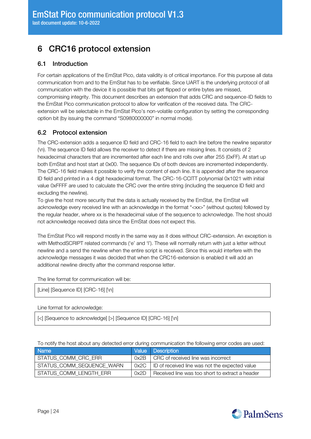## <span id="page-23-0"></span>6 CRC16 protocol extension

## <span id="page-23-1"></span>6.1 Introduction

For certain applications of the EmStat Pico, data validity is of critical importance. For this purpose all data communication from and to the EmStat has to be verifiable. Since UART is the underlying protocol of all communication with the device it is possible that bits get flipped or entire bytes are missed, compromising integrity. This document describes an extension that adds CRC and sequence-ID fields to the EmStat Pico communication protocol to allow for verification of the received data. The CRCextension will be selectable in the EmStat Pico's non-volatile configuration by setting the corresponding option bit (by issuing the command "S0980000000" in normal mode).

## <span id="page-23-2"></span>6.2 Protocol extension

The CRC-extension adds a sequence ID field and CRC-16 field to each line before the newline separator (\n). The sequence ID field allows the receiver to detect if there are missing lines. It consists of 2 hexadecimal characters that are incremented after each line and rolls over after 255 (0xFF). At start up both EmStat and host start at 0x00. The sequence IDs of both devices are incremented independently. The CRC-16 field makes it possible to verify the content of each line. It is appended after the sequence ID field and printed in a 4 digit hexadecimal format. The CRC-16-CCITT polynomial 0x1021 with initial value 0xFFFF are used to calculate the CRC over the entire string (including the sequence ID field and excluding the newline).

To give the host more security that the data is actually received by the EmStat, the EmStat will acknowledge every received line with an acknowledge in the format "<xx>" (without quotes) followed by the regular header, where xx is the hexadecimal value of the sequence to acknowledge. The host should not acknowledge received data since the EmStat does not expect this.

The EmStat Pico will respond mostly in the same way as it does without CRC-extension. An exception is with MethodSCRIPT related commands ('e' and 'I'). These will normally return with just a letter without newline and a send the newline when the entire script is received. Since this would interfere with the acknowledge messages it was decided that when the CRC16-extension is enabled it will add an additional newline directly after the command response letter.

The line format for communication will be:

[Line] [Sequence ID] [CRC-16] [\n]

Line format for acknowledge:

[<] [Sequence to acknowledge] [>] [Sequence ID] [CRC-16] [\n]

To notify the host about any detected error during communication the following error codes are used:

| <b>Name</b>               |      | Value Description                               |
|---------------------------|------|-------------------------------------------------|
| STATUS_COMM_CRC_ERR       |      | 0x2B   CRC of received line was incorrect       |
| STATUS_COMM_SEQUENCE_WARN | 0x2C | ID of received line was not the expected value  |
| STATUS_COMM_LENGTH_ERR    | 0x2D | Received line was too short to extract a header |

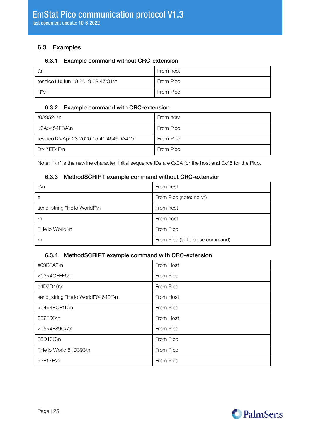## <span id="page-24-0"></span>6.3 Examples

#### <span id="page-24-1"></span>6.3.1 Example command without CRC-extension

| t\n                              | From host |
|----------------------------------|-----------|
| tespico11#Jun 18 2019 09:47:31\n | From Pico |
| R*\n                             | From Pico |

#### <span id="page-24-2"></span>6.3.2 Example command with CRC-extension

| t0A9524\n                              | From host |
|----------------------------------------|-----------|
| <0A>454FBA\n                           | From Pico |
| tespico12#Apr 23 2020 15:41:4646DA41\n | From Pico |
| D*47EE4F\n                             | From Pico |

Note: "\n" is the newline character, initial sequence IDs are 0x0A for the host and 0x45 for the Pico.

#### <span id="page-24-3"></span>6.3.3 MethodSCRIPT example command without CRC-extension

| $e \nightharpoonup$          | From host                       |
|------------------------------|---------------------------------|
| е                            | From Pico (note: no \n)         |
| send_string "Hello World!"\n | From host                       |
| ۱n                           | From host                       |
| THello World!\n              | From Pico                       |
| ۱n                           | From Pico (\n to close command) |

#### <span id="page-24-4"></span>6.3.4 MethodSCRIPT example command with CRC-extension

| e03BFA2\n                          | From Host |
|------------------------------------|-----------|
| <03>4CFEF6\n                       | From Pico |
| e4D7D16\n                          | From Pico |
| send_string "Hello World!"04640F\n | From Host |
| <04>4ECF1D\n                       | From Pico |
| 057E6C\n                           | From Host |
| <05>4F89CA\n                       | From Pico |
| 50D13C\n                           | From Pico |
| THello World!51D393\n              | From Pico |
| 52F17E\n                           | From Pico |

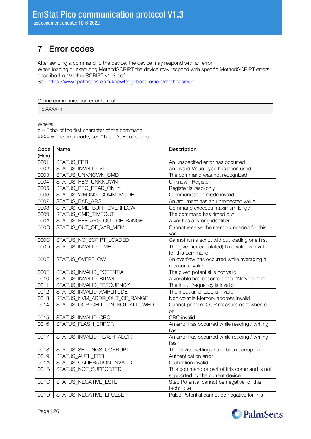last document update: 10-6-2022

## <span id="page-25-0"></span>7 Error codes

After sending a command to the device, the device may respond with an error. When loading or executing MethodSCRIPT the device may respond with specific MethodSCRIPT errors described in "MethodSCRIPT v1\_3.pdf".

See<https://www.palmsens.com/knowledgebase-article/methodscript>

Online communication error format:

c!XXXX\n

Where:

 $c =$  Echo of the first character of the command XXXX = The error code, see "[Table 3; Error codes](#page-27-0)"

| Code  | Name                           | Description                                     |
|-------|--------------------------------|-------------------------------------------------|
| (Hex) |                                |                                                 |
| 0001  | STATUS_ERR                     | An unspecified error has occurred               |
| 0002  | STATUS_INVALID_VT              | An invalid Value Type has been used             |
| 0003  | STATUS_UNKNOWN_CMD             | The command was not recognized                  |
| 0004  | STATUS_REG_UNKNOWN             | Unknown Register                                |
| 0005  | STATUS_REG_READ_ONLY           | Register is read-only                           |
| 0006  | STATUS_WRONG_COMM_MODE         | Communication mode invalid                      |
| 0007  | STATUS_BAD_ARG                 | An argument has an unexpected value             |
| 0008  | STATUS_CMD_BUFF_OVERFLOW       | Command exceeds maximum length                  |
| 0009  | STATUS_CMD_TIMEOUT             | The command has timed out                       |
| 000A  | STATUS_REF_ARG_OUT_OF_RANGE    | A var has a wrong identifier                    |
| 000B  | STATUS_OUT_OF_VAR_MEM          | Cannot reserve the memory needed for this       |
|       |                                | var                                             |
| 000C  | STATUS_NO_SCRIPT_LOADED        | Cannot run a script without loading one first   |
| 000D  | STATUS_INVALID_TIME            | The given (or calculated) time value is invalid |
|       |                                | for this command                                |
| 000E  | STATUS_OVERFLOW                | An overflow has occurred while averaging a      |
|       |                                | measured value                                  |
| 000F  | STATUS_INVALID_POTENTIAL       | The given potential is not valid                |
| 0010  | STATUS_INVALID_BITVAL          | A variable has become either "NaN" or "inf"     |
| 0011  | STATUS_INVALID_FREQUENCY       | The input frequency is invalid                  |
| 0012  | STATUS_INVALID_AMPLITUDE       | The input amplitude is invalid                  |
| 0013  | STATUS_NVM_ADDR_OUT_OF_RANGE   | Non-volatile Memory address invalid             |
| 0014  | STATUS_OCP_CELL_ON_NOT_ALLOWED | Cannot perform OCP measurement when cell        |
|       |                                | on                                              |
| 0015  | STATUS_INVALID_CRC             | CRC invalid                                     |
| 0016  | STATUS_FLASH_ERROR             | An error has occurred while reading / writing   |
|       |                                | flash                                           |
| 0017  | STATUS_INVALID_FLASH_ADDR      | An error has occurred while reading / writing   |
|       |                                | flash                                           |
| 0018  | STATUS_SETTINGS_CORRUPT        | The device settings have been corrupted         |
| 0019  | <b>STATUS AUTH ERR</b>         | Authentication error                            |
| 001A  | STATUS_CALIBRATION_INVALID     | Calibration invalid                             |
| 001B  | STATUS_NOT_SUPPORTED           | This command or part of this command is not     |
|       |                                | supported by the current device                 |
| 001C  | STATUS_NEGATIVE_ESTEP          | Step Potential cannot be negative for this      |
|       |                                | technique                                       |
| 001D  | STATUS_NEGATIVE_EPULSE         | Pulse Potential cannot be negative for this     |

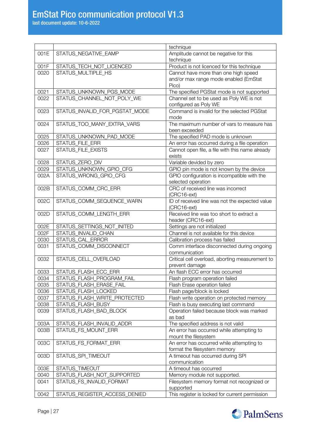last document update: 10-6-2022

|      |                                | technique                                                         |
|------|--------------------------------|-------------------------------------------------------------------|
| 001E | STATUS_NEGATIVE_EAMP           | Amplitude cannot be negative for this                             |
|      |                                | technique                                                         |
| 001F | STATUS_TECH_NOT_LICENCED       | Product is not licenced for this technique                        |
| 0020 | STATUS_MULTIPLE_HS             | Cannot have more than one high speed                              |
|      |                                | and/or max range mode enabled (EmStat                             |
|      |                                | Pico)                                                             |
| 0021 | STATUS_UNKNOWN_PGS_MODE        | The specified PGStat mode is not supported                        |
| 0022 | STATUS_CHANNEL_NOT_POLY_WE     | Channel set to be used as Poly WE is not                          |
|      |                                | configured as Poly WE                                             |
| 0023 | STATUS_INVALID_FOR_PGSTAT_MODE | Command is invalid for the selected PGStat                        |
|      |                                | mode                                                              |
| 0024 | STATUS_TOO_MANY_EXTRA_VARS     | The maximum number of vars to measure has                         |
|      |                                | been exceeded                                                     |
| 0025 | STATUS_UNKNOWN_PAD_MODE        | The specified PAD mode is unknown                                 |
| 0026 | STATUS_FILE_ERR                | An error has occurred during a file operation                     |
| 0027 | STATUS_FILE_EXISTS             | Cannot open file, a file with this name already                   |
|      |                                | exists                                                            |
| 0028 | STATUS_ZERO_DIV                | Variable devided by zero                                          |
| 0029 | STATUS_UNKNOWN_GPIO_CFG        | GPIO pin mode is not known by the device                          |
| 002A | STATUS_WRONG_GPIO_CFG          | GPIO configuration is incompatible with the                       |
| 002B | STATUS_COMM_CRC_ERR            | selected operation<br>CRC of received line was incorrect          |
|      |                                | $(CRC16-ext)$                                                     |
| 002C | STATUS_COMM_SEQUENCE_WARN      | ID of received line was not the expected value                    |
|      |                                | $(CRC16-ext)$                                                     |
| 002D | STATUS_COMM_LENGTH_ERR         | Received line was too short to extract a                          |
|      |                                | header (CRC16-ext)                                                |
| 002E | STATUS_SETTINGS_NOT_INITED     | Settings are not initialized                                      |
| 002F | STATUS_INVALID_CHAN            | Channel is not available for this device                          |
| 0030 | STATUS_CAL_ERROR               | Calibration process has failed                                    |
| 0031 | STATUS_COMM_DISCONNECT         | Comm interface disconnected during ongoing                        |
|      |                                | communication                                                     |
| 0032 | STATUS_CELL_OVERLOAD           | Critical cell overload, aborting measurement to                   |
|      |                                | prevent damage                                                    |
| 0033 | STATUS_FLASH_ECC_ERR           | An flash ECC error has occurred                                   |
| 0034 | STATUS_FLASH_PROGRAM_FAIL      | Flash program operation failed                                    |
| 0035 | STATUS_FLASH_ERASE_FAIL        | Flash Erase operation failed                                      |
| 0036 | STATUS_FLASH_LOCKED            | Flash page/block is locked                                        |
| 0037 | STATUS_FLASH_WRITE_PROTECTED   | Flash write operation on protected memory                         |
| 0038 | STATUS_FLASH_BUSY              | Flash is busy executing last command                              |
| 0039 | STATUS_FLASH_BAD_BLOCK         | Operation failed because block was marked                         |
|      |                                | as bad                                                            |
| 003A | STATUS_FLASH_INVALID_ADDR      | The specified address is not valid                                |
| 003B | STATUS_FS_MOUNT_ERR            | An error has occurred while attempting to                         |
| 003C | STATUS_FS_FORMAT_ERR           | mount the filesystem<br>An error has occurred while attempting to |
|      |                                |                                                                   |
| 003D | STATUS_SPI_TIMEOUT             | format the filesystem memory<br>A timeout has occurred during SPI |
|      |                                | communication                                                     |
| 003E | STATUS_TIMEOUT                 | A timeout has occurred                                            |
| 0040 | STATUS_FLASH_NOT_SUPPORTED     | Memory module not supported.                                      |
| 0041 | STATUS_FS_INVALID_FORMAT       | Filesystem memory format not recognized or                        |
|      |                                | supported                                                         |
| 0042 | STATUS_REGISTER_ACCESS_DENIED  | This register is locked for current permission                    |

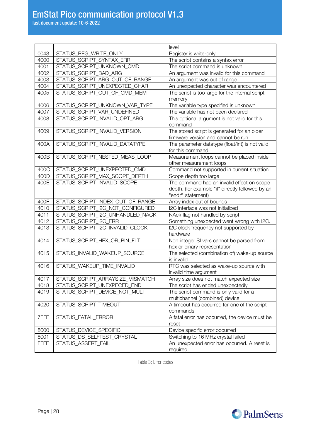|              |                                  | level                                                                        |
|--------------|----------------------------------|------------------------------------------------------------------------------|
| 0043         | STATUS_REG_WRITE_ONLY            | Register is write-only                                                       |
| 4000         | STATUS_SCRIPT_SYNTAX_ERR         | The script contains a syntax error                                           |
| 4001         | STATUS_SCRIPT_UNKNOWN_CMD        | The script command is unknown                                                |
| 4002         | STATUS_SCRIPT_BAD_ARG            | An argument was invalid for this command                                     |
| 4003         | STATUS_SCRIPT_ARG_OUT_OF_RANGE   | An argument was out of range                                                 |
| 4004         | STATUS_SCRIPT_UNEXPECTED_CHAR    | An unexpected character was encountered                                      |
| 4005         | STATUS_SCRIPT_OUT_OF_CMD_MEM     | The script is too large for the internal script                              |
|              |                                  | memory                                                                       |
| 4006         | STATUS_SCRIPT_UNKNOWN_VAR_TYPE   | The variable type specified is unknown                                       |
| 4007         | STATUS_SCRIPT_VAR_UNDEFINED      | The variable has not been declared                                           |
| 4008         | STATUS_SCRIPT_INVALID_OPT_ARG    | This optional argument is not valid for this                                 |
|              |                                  | command                                                                      |
| 4009         | STATUS_SCRIPT_INVALID_VERSION    | The stored script is generated for an older                                  |
|              |                                  | firmware version and cannot be run                                           |
| 400A         | STATUS_SCRIPT_INVALID_DATATYPE   | The parameter datatype (float/int) is not valid                              |
|              |                                  | for this command                                                             |
| 400B         | STATUS_SCRIPT_NESTED_MEAS_LOOP   | Measurement loops cannot be placed inside                                    |
|              |                                  | other measurement loops                                                      |
| 400C         | STATUS_SCRIPT_UNEXPECTED_CMD     | Command not supported in current situation                                   |
| 400D         | STATUS_SCRIPT_MAX_SCOPE_DEPTH    | Scope depth too large                                                        |
| 400E         | STATUS_SCRIPT_INVALID_SCOPE      | The command had an invalid effect on scope                                   |
|              |                                  | depth. (for example "if" directly followed by an                             |
|              |                                  | "endif" statement)                                                           |
| 400F         | STATUS_SCRIPT_INDEX_OUT_OF_RANGE | Array index out of bounds                                                    |
| 4010         | STATUS_SCRIPT_I2C_NOT_CONFIGURED | I2C interface was not initialized                                            |
| 4011         | STATUS_SCRIPT_I2C_UNHANDLED_NACK | NAck flag not handled by script                                              |
| 4012         | STATUS_SCRIPT_I2C_ERR            | Something unexpected went wrong with I2C.                                    |
| 4013         | STATUS_SCRIPT_I2C_INVALID_CLOCK  | I2C clock frequency not supported by                                         |
|              |                                  | hardware                                                                     |
| 4014         | STATUS_SCRIPT_HEX_OR_BIN_FLT     | Non integer SI vars cannot be parsed from                                    |
| 4015         | STATUS_INVALID_WAKEUP_SOURCE     | hex or binary representation<br>The selected (combination of) wake-up source |
|              |                                  | is invalid                                                                   |
| 4016         | STATUS_WAKEUP_TIME_INVALID       | RTC was selected as wake-up source with                                      |
|              |                                  | invalid time argument                                                        |
| 4017         | STATUS_SCRIPT_ARRAYSIZE_MISMATCH | Array size does not match expected size                                      |
| 4018         | STATUS_SCRIPT_UNEXPECED_END      | The script has ended unexpectedly                                            |
| 4019         | STATUS_SCRIPT_DEVICE_NOT_MULTI   | The script command is only valid for a                                       |
|              |                                  | multichannel (combined) device                                               |
| 4020         | STATUS_SCRIPT_TIMEOUT            | A timeout has occurred for one of the script                                 |
|              |                                  | commands                                                                     |
| 7FFF         | STATUS_FATAL_ERROR               | A fatal error has occurred, the device must be                               |
|              |                                  |                                                                              |
|              |                                  |                                                                              |
|              |                                  | reset                                                                        |
| 8000<br>8001 | STATUS_DEVICE_SPECIFIC           | Device specific error occurred                                               |
|              | STATUS_DS_SELFTEST_CRYSTAL       | Switching to 16 MHz crystal failed                                           |
| <b>FFFF</b>  | STATUS_ASSERT_FAIL               | An unexpected error has occurred. A reset is<br>required.                    |

<span id="page-27-0"></span>Table 3; Error codes